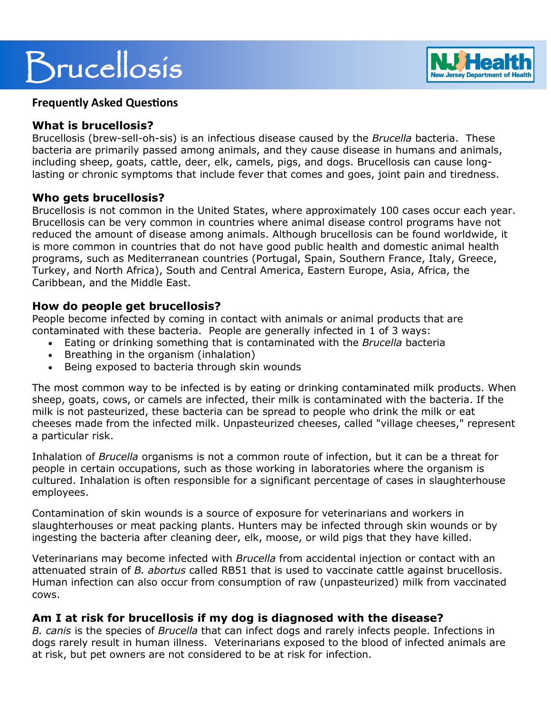# Brucellosis



## **Frequently Asked Questions**

## **What is brucellosis?**

Brucellosis (brew-sell-oh-sis) is an infectious disease caused by the *Brucella* bacteria. These bacteria are primarily passed among animals, and they cause disease in humans and animals, including sheep, goats, cattle, deer, elk, camels, pigs, and dogs. Brucellosis can cause longlasting or chronic symptoms that include fever that comes and goes, joint pain and tiredness.

### **Who gets brucellosis?**

Brucellosis is not common in the United States, where approximately 100 cases occur each year. Brucellosis can be very common in countries where animal disease control programs have not reduced the amount of disease among animals. Although brucellosis can be found worldwide, it is more common in countries that do not have good public health and domestic animal health programs, such as Mediterranean countries (Portugal, Spain, Southern France, Italy, Greece, Turkey, and North Africa), South and Central America, Eastern Europe, Asia, Africa, the Caribbean, and the Middle East.

## **How do people get brucellosis?**

People become infected by coming in contact with animals or animal products that are contaminated with these bacteria. People are generally infected in 1 of 3 ways:

- Eating or drinking something that is contaminated with the *Brucella* bacteria
- Breathing in the organism (inhalation)
- Being exposed to bacteria through skin wounds

The most common way to be infected is by eating or drinking contaminated milk products. When sheep, goats, cows, or camels are infected, their milk is contaminated with the bacteria. If the milk is not pasteurized, these bacteria can be spread to people who drink the milk or eat cheeses made from the infected milk. Unpasteurized cheeses, called "village cheeses," represent a particular risk.

Inhalation of *Brucella* organisms is not a common route of infection, but it can be a threat for people in certain occupations, such as those working in laboratories where the organism is cultured. Inhalation is often responsible for a significant percentage of cases in slaughterhouse employees.

Contamination of skin wounds is a source of exposure for veterinarians and workers in slaughterhouses or meat packing plants. Hunters may be infected through skin wounds or by ingesting the bacteria after cleaning deer, elk, moose, or wild pigs that they have killed.

Veterinarians may become infected with *Brucella* from accidental injection or contact with an attenuated strain of *B. abortus* called RB51 that is used to vaccinate cattle against brucellosis. Human infection can also occur from consumption of raw (unpasteurized) milk from vaccinated cows.

## **Am I at risk for brucellosis if my dog is diagnosed with the disease?**

*B. canis* is the species of *Brucella* that can infect dogs and rarely infects people. Infections in dogs rarely result in human illness. Veterinarians exposed to the blood of infected animals are at risk, but pet owners are not considered to be at risk for infection.